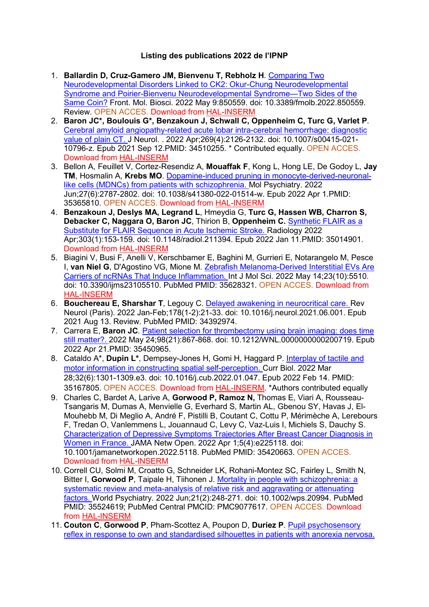## **Listing des publications 2022 de l'IPNP**

- 1. **Ballardin D, Cruz-Gamero JM, Bienvenu T, Rebholz H**. [Comparing Two](https://www.frontiersin.org/articles/10.3389/fmolb.2022.850559/full?&utm_source=Email_to_authors_&utm_medium=Email&utm_content=T1_11.5e1_author&utm_campaign=Email_publication&field=&journalName=Frontiers_in_Molecular_Biosciences&id=850559)  [Neurodevelopmental Disorders Linked to CK2: Okur-Chung Neurodevelopmental](https://www.frontiersin.org/articles/10.3389/fmolb.2022.850559/full?&utm_source=Email_to_authors_&utm_medium=Email&utm_content=T1_11.5e1_author&utm_campaign=Email_publication&field=&journalName=Frontiers_in_Molecular_Biosciences&id=850559)  [Syndrome and Poirier-Bienvenu Neurodevelopmental Syndrome—Two Sides of the](https://www.frontiersin.org/articles/10.3389/fmolb.2022.850559/full?&utm_source=Email_to_authors_&utm_medium=Email&utm_content=T1_11.5e1_author&utm_campaign=Email_publication&field=&journalName=Frontiers_in_Molecular_Biosciences&id=850559)  [Same Coin?](https://www.frontiersin.org/articles/10.3389/fmolb.2022.850559/full?&utm_source=Email_to_authors_&utm_medium=Email&utm_content=T1_11.5e1_author&utm_campaign=Email_publication&field=&journalName=Frontiers_in_Molecular_Biosciences&id=850559) Front. Mol. Biosci. 2022 May 9:850559. doi: 10.3389/fmolb.2022.850559. Review. OPEN ACCES. Download from [HAL-INSERM](https://www.hal.inserm.fr/inserm-03684127)
- 2. **Baron JC\*, Boulouis G\*, Benzakoun J, Schwall C, Oppenheim C, Turc G, Varlet P**. [Cerebral amyloid angiopathy-related acute lobar intra-cerebral hemorrhage: diagnostic](https://www.ncbi.nlm.nih.gov/pubmed/34510255/)  [value of plain CT. J](https://www.ncbi.nlm.nih.gov/pubmed/34510255/) Neurol. . 2022 Apr;269(4):2126-2132. doi: 10.1007/s00415-021- 10796-z. Epub 2021 Sep 12.PMID: 34510255. \* Contributed equally. OPEN ACCES. Download from [HAL-INSERM](https://www.hal.inserm.fr/inserm-03346031)
- 3. Bellon A, Feuillet V, Cortez-Resendiz A, **Mouaffak F**, Kong L, Hong LE, De Godoy L, **Jay TM**, Hosmalin A, **Krebs MO**. [Dopamine-induced pruning in monocyte-derived-neuronal](https://www.ncbi.nlm.nih.gov/pubmed/35365810/)[like cells \(MDNCs\) from patients with schizophrenia. M](https://www.ncbi.nlm.nih.gov/pubmed/35365810/)ol Psychiatry. 2022 Jun;27(6):2787-2802. doi: 10.1038/s41380-022-01514-w. Epub 2022 Apr 1.PMID: 35365810. OPEN ACCES. Download from [HAL-INSERM](https://www.hal.inserm.fr/inserm-03629087)
- 4. **Benzakoun J, Deslys MA, Legrand L**, Hmeydia G, **Turc G, Hassen WB, Charron S, Debacker C, Naggara O, Baron JC**, Thirion B, **Oppenheim C.** [Synthetic FLAIR as a](https://www.ncbi.nlm.nih.gov/pubmed/35014901/)  [Substitute for FLAIR Sequence in Acute Ischemic Stroke. R](https://www.ncbi.nlm.nih.gov/pubmed/35014901/)adiology 2022 Apr;303(1):153-159. doi: 10.1148/radiol.211394. Epub 2022 Jan 11.PMID: 35014901. Download from [HAL-INSERM](https://www.hal.inserm.fr/inserm-03536623)
- 5. Biagini V, Busi F, Anelli V, Kerschbamer E, Baghini M, Gurrieri E, Notarangelo M, Pesce I, **van Niel G**, D'Agostino VG, Mione M. [Zebrafish Melanoma-Derived Interstitial EVs Are](https://www.ncbi.nlm.nih.gov/pubmed/35628321/)  [Carriers of ncRNAs That Induce Inflammation. I](https://www.ncbi.nlm.nih.gov/pubmed/35628321/)nt J Mol Sci. 2022 May 14;23(10):5510. doi: 10.3390/ijms23105510. PubMed PMID: 35628321. OPEN ACCES. Download from [HAL-INSERM](https://www.hal.inserm.fr/inserm-03684223)
- 6. **Bouchereau E, Sharshar T**, Legouy C. [Delayed awakening in neurocritical care. R](https://www.ncbi.nlm.nih.gov/pubmed/34392974/)ev Neurol (Paris). 2022 Jan-Feb;178(1-2):21-33. doi: 10.1016/j.neurol.2021.06.001. Epub 2021 Aug 13. Review. PubMed PMID: 34392974.
- 7. Carrera E, **Baron JC**. [Patient selection for thrombectomy using brain imaging: does time](https://www.ncbi.nlm.nih.gov/pubmed/35450965/)  [still matter?. 2](https://www.ncbi.nlm.nih.gov/pubmed/35450965/)022 May 24;98(21):867-868. doi: 10.1212/WNL.0000000000200719. Epub 2022 Apr 21.PMID: 35450965.
- 8. Cataldo A\*, **Dupin L\***, Dempsey-Jones H, Gomi H, Haggard P. [Interplay of tactile and](https://www.ncbi.nlm.nih.gov/pubmed/35167805/)  [motor information in constructing spatial self-perception. C](https://www.ncbi.nlm.nih.gov/pubmed/35167805/)urr Biol. 2022 Mar 28;32(6):1301-1309.e3. doi: 10.1016/j.cub.2022.01.047. Epub 2022 Feb 14. PMID: 35167805. OPEN ACCES. Download from [HAL-INSERM.](https://www.hal.inserm.fr/inserm-03578120) \*Authors contributed equally
- 9. Charles C, Bardet A, Larive A, **Gorwood P, Ramoz N,** Thomas E, Viari A, Rousseau-Tsangaris M, Dumas A, Menvielle G, Everhard S, Martin AL, Gbenou SY, Havas J, El-Mouhebb M, Di Meglio A, André F, Pistilli B, Coutant C, Cottu P, Mérimèche A, Lerebours F, Tredan O, Vanlemmens L, Jouannaud C, Levy C, Vaz-Luis I, Michiels S, Dauchy S. [Characterization of Depressive Symptoms Trajectories After Breast Cancer Diagnosis in](https://www.ncbi.nlm.nih.gov/pubmed/35420663/)  [Women in France. J](https://www.ncbi.nlm.nih.gov/pubmed/35420663/)AMA Netw Open. 2022 Apr 1;5(4):e225118. doi: 10.1001/jamanetworkopen.2022.5118. PubMed PMID: 35420663. OPEN ACCES. Download from [HAL-INSERM](https://www.hal.inserm.fr/inserm-03650391)
- 10. Correll CU, Solmi M, Croatto G, Schneider LK, Rohani-Montez SC, Fairley L, Smith N, Bitter I, **Gorwood P**, Taipale H, Tiihonen J. [Mortality in people with schizophrenia: a](https://www.ncbi.nlm.nih.gov/pubmed/35524619/)  systematic review and meta-analysis of relative risk and aggravating or attenuating [factors. W](https://www.ncbi.nlm.nih.gov/pubmed/35524619/)orld Psychiatry. 2022 Jun;21(2):248-271. doi: 10.1002/wps.20994. PubMed PMID: 35524619; PubMed Central PMCID: PMC9077617. OPEN ACCES. Download from [HAL-INSERM](https://www.hal.inserm.fr/inserm-03684150)
- 11. **Couton C**, **Gorwood P**, Pham-Scottez A, Poupon D, **Duriez P**. [Pupil psychosensory](https://www.ncbi.nlm.nih.gov/pubmed/34984760/)  [reflex in response to own and standardised silhouettes in patients with anorexia nervosa.](https://www.ncbi.nlm.nih.gov/pubmed/34984760/)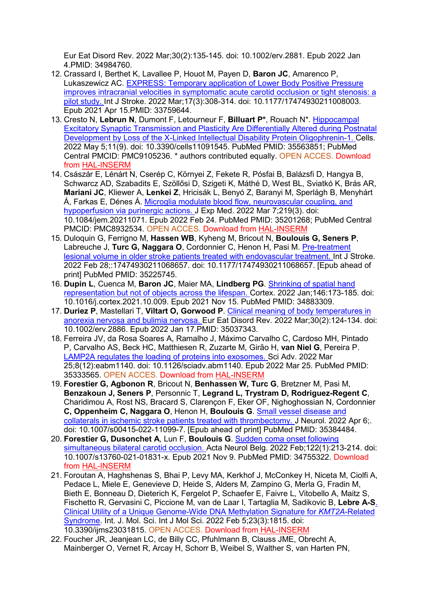Eur Eat Disord Rev. 2022 Mar;30(2):135-145. doi: 10.1002/erv.2881. Epub 2022 Jan 4.PMID: 34984760.

- 12. Crassard I, Berthet K, Lavallee P, Houot M, Payen D, **Baron JC**, Amarenco P, Lukaszewicz AC. [EXPRESS: Temporary application of Lower Body Positive Pressure](https://www.ncbi.nlm.nih.gov/pubmed/33759644/)  [improves intracranial velocities in symptomatic acute carotid occlusion or tight stenosis: a](https://www.ncbi.nlm.nih.gov/pubmed/33759644/)  [pilot study. I](https://www.ncbi.nlm.nih.gov/pubmed/33759644/)nt J Stroke. 2022 Mar;17(3):308-314. doi: 10.1177/17474930211008003. Epub 2021 Apr 15.PMID: 33759644.
- 13. Cresto N, **Lebrun N**, Dumont F, Letourneur F, **Billuart P\***, Rouach N\*. [Hippocampal](https://www.ncbi.nlm.nih.gov/pubmed/35563851/)  [Excitatory Synaptic Transmission and Plasticity Are Differentially Altered during Postnatal](https://www.ncbi.nlm.nih.gov/pubmed/35563851/)  [Development by Loss of the X-Linked Intellectual Disability Protein Oligophrenin-1. C](https://www.ncbi.nlm.nih.gov/pubmed/35563851/)ells. 2022 May 5;11(9). doi: 10.3390/cells11091545. PubMed PMID: 35563851; PubMed Central PMCID: PMC9105236. \* authors contributed equally. OPEN ACCES. Download from [HAL-INSERM](https://www.hal.inserm.fr/inserm-03684170)
- 14. Császár E, Lénárt N, Cserép C, Környei Z, Fekete R, Pósfai B, Balázsfi D, Hangya B, Schwarcz AD, Szabadits E, Szöllősi D, Szigeti K, Máthé D, West BL, Sviatkó K, Brás AR, **Mariani JC**, Kliewer A, **Lenkei Z**, Hricisák L, Benyó Z, Baranyi M, Sperlágh B, Menyhárt Á, Farkas E, Dénes Á. [Microglia modulate blood flow, neurovascular coupling, and](https://www.ncbi.nlm.nih.gov/pubmed/35201268/)  [hypoperfusion via purinergic actions. J](https://www.ncbi.nlm.nih.gov/pubmed/35201268/) Exp Med. 2022 Mar 7;219(3). doi: 10.1084/jem.20211071. Epub 2022 Feb 24. PubMed PMID: 35201268; PubMed Central PMCID: PMC8932534. OPEN ACCES. Download from [HAL-INSERM](https://www.hal.inserm.fr/inserm-03626089)
- 15. Duloquin G, Ferrigno M, **Hassen WB**, Kyheng M, Bricout N, **Boulouis G, Seners P**, Labreuche J, Turc G, Naggara O, Cordonnier C, Henon H, Pasi M. Pre-treatment [lesional volume in older stroke patients treated with endovascular treatment. I](https://www.ncbi.nlm.nih.gov/pubmed/35225745/)nt J Stroke. 2022 Feb 28;:17474930211068657. doi: 10.1177/17474930211068657. [Epub ahead of print] PubMed PMID: 35225745.
- 16. **Dupin L**, Cuenca M, **Baron JC**, Maier MA, **Lindberg PG**. [Shrinking of spatial hand](https://www.ncbi.nlm.nih.gov/pubmed/34883309/)  [representation but not of objects across the lifespan. C](https://www.ncbi.nlm.nih.gov/pubmed/34883309/)ortex. 2022 Jan;146:173-185. doi: 10.1016/j.cortex.2021.10.009. Epub 2021 Nov 15. PubMed PMID: 34883309.
- 17. **Duriez P**, Mastellari T, **Viltart O, Gorwood P**. [Clinical meaning of body temperatures in](https://www.ncbi.nlm.nih.gov/pubmed/35037343/)  [anorexia nervosa and bulimia nervosa. E](https://www.ncbi.nlm.nih.gov/pubmed/35037343/)ur Eat Disord Rev. 2022 Mar;30(2):124-134. doi: 10.1002/erv.2886. Epub 2022 Jan 17.PMID: 35037343.
- 18. Ferreira JV, da Rosa Soares A, Ramalho J, Máximo Carvalho C, Cardoso MH, Pintado P, Carvalho AS, Beck HC, Matthiesen R, Zuzarte M, Girão H, **van Niel G**, Pereira P. [LAMP2A regulates the loading of proteins into exosomes. S](https://www.ncbi.nlm.nih.gov/pubmed/35333565/)ci Adv. 2022 Mar 25;8(12):eabm1140. doi: 10.1126/sciadv.abm1140. Epub 2022 Mar 25. PubMed PMID: 35333565. OPEN ACCES. Download from [HAL-INSERM](https://www.hal.inserm.fr/inserm-03634917)
- 19. **Forestier G, Agbonon R**, Bricout N, **Benhassen W, Turc G**, Bretzner M, Pasi M, **Benzakoun J, Seners P**, Personnic T, **Legrand L, Trystram D, Rodriguez-Regent C**, Charidimou A, Rost NS, Bracard S, Clarençon F, Eker OF, Nighoghossian N, Cordonnier **C, Oppenheim C, Naggara O**, Henon H, **Boulouis G**. [Small vessel disease and](https://www.ncbi.nlm.nih.gov/pubmed/35384484/)  [collaterals in ischemic stroke patients treated with thrombectomy. J](https://www.ncbi.nlm.nih.gov/pubmed/35384484/) Neurol. 2022 Apr 6;. doi: 10.1007/s00415-022-11099-7. [Epub ahead of print] PubMed PMID: 35384484.
- 20. **Forestier G, Dusonchet A**, Lun F, **Boulouis G**. [Sudden coma onset following](https://www.ncbi.nlm.nih.gov/pubmed/34755322/)  [simultaneous bilateral carotid occlusion. A](https://www.ncbi.nlm.nih.gov/pubmed/34755322/)cta Neurol Belg. 2022 Feb;122(1):213-214. doi: 10.1007/s13760-021-01831-x. Epub 2021 Nov 9. PubMed PMID: 34755322. Download from [HAL-INSERM](https://hal.archives-ouvertes.fr/inserm-03428470)
- 21. Foroutan A, Haghshenas S, Bhai P, Levy MA, Kerkhof J, McConkey H, Niceta M, Ciolfi A, Pedace L, Miele E, Genevieve D, Heide S, Alders M, Zampino G, Merla G, Fradin M, Bieth E, Bonneau D, Dieterich K, Fergelot P, Schaefer E, Faivre L, Vitobello A, Maitz S, Fischetto R, Gervasini C, Piccione M, van de Laar I, Tartaglia M, Sadikovic B, **Lebre A-S**[.](https://www.mdpi.com/1422-0067/23/3/1815)  [Clinical Utility of a Unique Genome-Wide DNA Methylation Signature for](https://www.mdpi.com/1422-0067/23/3/1815) *KMT2A*-Related [Syndrome.](https://www.mdpi.com/1422-0067/23/3/1815) Int. J. Mol. Sci. Int J Mol Sci. 2022 Feb 5;23(3):1815. doi: 10.3390/ijms23031815. OPEN ACCES. Download from [HAL-INSERM](https://www.hal.inserm.fr/inserm-03561254)
- 22. Foucher JR, Jeanjean LC, de Billy CC, Pfuhlmann B, Clauss JME, Obrecht A, Mainberger O, Vernet R, Arcay H, Schorr B, Weibel S, Walther S, van Harten PN,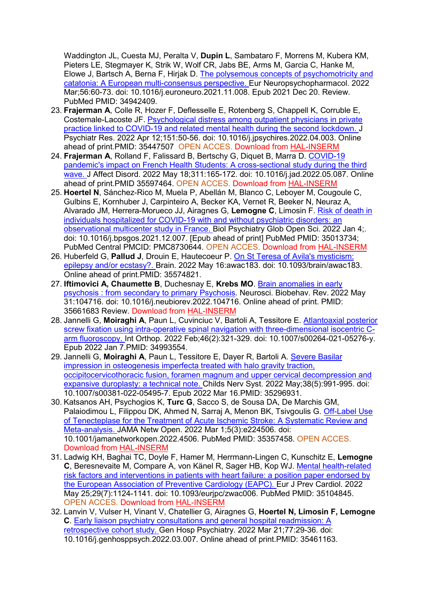Waddington JL, Cuesta MJ, Peralta V, **Dupin L**, Sambataro F, Morrens M, Kubera KM, Pieters LE, Stegmayer K, Strik W, Wolf CR, Jabs BE, Arms M, Garcia C, Hanke M, Elowe J, Bartsch A, Berna F, Hirjak D. [The polysemous concepts of psychomotricity and](https://www.ncbi.nlm.nih.gov/pubmed/34942409/)  [catatonia: A European multi-consensus perspective. E](https://www.ncbi.nlm.nih.gov/pubmed/34942409/)ur Neuropsychopharmacol. 2022 Mar;56:60-73. doi: 10.1016/j.euroneuro.2021.11.008. Epub 2021 Dec 20. Review. PubMed PMID: 34942409.

- 23. **Frajerman A**, Colle R, Hozer F, Deflesselle E, Rotenberg S, Chappell K, Corruble E, Costemale-Lacoste JF. [Psychological distress among outpatient physicians in private](https://www.ncbi.nlm.nih.gov/pubmed/35447507/)  [practice linked to COVID-19 and related mental health during the second lockdown. J](https://www.ncbi.nlm.nih.gov/pubmed/35447507/) Psychiatr Res. 2022 Apr 12;151:50-56. doi: 10.1016/j.jpsychires.2022.04.003. Online ahead of print.PMID: 35447507 OPEN ACCES. Download from [HAL-INSERM](https://www.hal.inserm.fr/inserm-03650397)
- 24. **Frajerman A**, Rolland F, Falissard B, Bertschy G, Diquet B, Marra D. [COVID-19](https://www.ncbi.nlm.nih.gov/pubmed/35597464/)  [pandemic's impact on French Health Students: A cross-sectional study during the third](https://www.ncbi.nlm.nih.gov/pubmed/35597464/)  [wave. J](https://www.ncbi.nlm.nih.gov/pubmed/35597464/) Affect Disord. 2022 May 18;311:165-172. doi: 10.1016/j.jad.2022.05.087. Online ahead of print.PMID 35597464. OPEN ACCES. Download from [HAL-INSERM](https://www.hal.inserm.fr/inserm-03684251)
- 25. **Hoertel N**, Sánchez-Rico M, Muela P, Abellán M, Blanco C, Leboyer M, Cougoule C, Gulbins E, Kornhuber J, Carpinteiro A, Becker KA, Vernet R, Beeker N, Neuraz A, Alvarado JM, Herrera-Morueco JJ, Airagnes G, **Lemogne C**, Limosin F. [Risk of death in](https://www.ncbi.nlm.nih.gov/pubmed/35013734/)  [individuals hospitalized for COVID-19 with and without psychiatric disorders: an](https://www.ncbi.nlm.nih.gov/pubmed/35013734/)  [observational multicenter study in France. B](https://www.ncbi.nlm.nih.gov/pubmed/35013734/)iol Psychiatry Glob Open Sci. 2022 Jan 4;. doi: 10.1016/j.bpsgos.2021.12.007. [Epub ahead of print] PubMed PMID: 35013734; PubMed Central PMCID: PMC8730644. OPEN ACCES. Download from [HAL-INSERM](https://www.hal.inserm.fr/inserm-03536917)
- 26. Huberfeld G, **Pallud J**, Drouin E, Hautecoeur P. [On St Teresa of Avila's mysticism:](https://www.ncbi.nlm.nih.gov/pubmed/35574821/)  [epilepsy and/or ecstasy?. B](https://www.ncbi.nlm.nih.gov/pubmed/35574821/)rain. 2022 May 16:awac183. doi: 10.1093/brain/awac183. Online ahead of print.PMID: 35574821.
- 27. **Iftimovici A, Chaumette B**, Duchesnay E, **Krebs MO**. [Brain anomalies in early](https://www.sciencedirect.com/science/article/abs/pii/S0149763422002056)  [psychosis : from secondary to primary Psychosis.](https://www.sciencedirect.com/science/article/abs/pii/S0149763422002056) Neurosci. Biobehav. Rev. 2022 May 31:104716. doi: 10.1016/j.neubiorev.2022.104716. Online ahead of print. PMID: 35661683 Review. Download from [HAL-INSERM](https://www.hal.inserm.fr/inserm-03684095)
- 28. Jannelli G, **Moiraghi A**, Paun L, Cuvinciuc V, Bartoli A, Tessitore E. [Atlantoaxial posterior](https://www.ncbi.nlm.nih.gov/pubmed/34993554/)  [screw fixation using intra-operative spinal navigation with three-dimensional isocentric C](https://www.ncbi.nlm.nih.gov/pubmed/34993554/)[arm fluoroscopy. I](https://www.ncbi.nlm.nih.gov/pubmed/34993554/)nt Orthop. 2022 Feb;46(2):321-329. doi: 10.1007/s00264-021-05276-y. Epub 2022 Jan 7.PMID: 34993554.
- 29. Jannelli G, **Moiraghi A**, Paun L, Tessitore E, Dayer R, Bartoli A. [Severe Basilar](https://www.ncbi.nlm.nih.gov/pubmed/35296931/)  [impression in osteogenesis imperfecta treated with halo gravity traction,](https://www.ncbi.nlm.nih.gov/pubmed/35296931/)  [occipitocervicothoracic fusion, foramen magnum and upper cervical decompression and](https://www.ncbi.nlm.nih.gov/pubmed/35296931/)  [expansive duroplasty: a technical note. C](https://www.ncbi.nlm.nih.gov/pubmed/35296931/)hilds Nerv Syst. 2022 May;38(5):991-995. doi: 10.1007/s00381-022-05495-7. Epub 2022 Mar 16.PMID: 35296931.
- 30. Katsanos AH, Psychogios K, **Turc G**, Sacco S, de Sousa DA, De Marchis GM, Palaiodimou L, Filippou DK, Ahmed N, Sarraj A, Menon BK, Tsivgoulis G. [Off-Label Use](https://www.ncbi.nlm.nih.gov/pubmed/35357458/)  [of Tenecteplase for the Treatment of Acute Ischemic Stroke: A Systematic Review and](https://www.ncbi.nlm.nih.gov/pubmed/35357458/)  [Meta-analysis. J](https://www.ncbi.nlm.nih.gov/pubmed/35357458/)AMA Netw Open. 2022 Mar 1;5(3):e224506. doi: 10.1001/jamanetworkopen.2022.4506. PubMed PMID: 35357458. OPEN ACCES. Download from [HAL-INSERM](https://www.hal.inserm.fr/inserm-03629093)
- 31. Ladwig KH, Baghai TC, Doyle F, Hamer M, Herrmann-Lingen C, Kunschitz E, **Lemogne C**, Beresnevaite M, Compare A, von Känel R, Sager HB, Kop WJ. [Mental health-related](https://www.ncbi.nlm.nih.gov/pubmed/35104845/)  [risk factors and interventions in patients with heart failure: a position paper endorsed by](https://www.ncbi.nlm.nih.gov/pubmed/35104845/)  [the European Association of Preventive Cardiology \(EAPC\). E](https://www.ncbi.nlm.nih.gov/pubmed/35104845/)ur J Prev Cardiol. 2022 May 25;29(7):1124-1141. doi: 10.1093/eurjpc/zwac006. PubMed PMID: 35104845. OPEN ACCES. Download from [HAL-INSERM](https://www.hal.inserm.fr/inserm-03690290)
- 32. Lanvin V, Vulser H, Vinant V, Chatellier G, Airagnes G, **Hoertel N, Limosin F, Lemogne C**. [Early liaison psychiatry consultations and general hospital readmission: A](https://www.ncbi.nlm.nih.gov/pubmed/35461163/)  [retrospective cohort study. G](https://www.ncbi.nlm.nih.gov/pubmed/35461163/)en Hosp Psychiatry. 2022 Mar 21;77:29-36. doi: 10.1016/j.genhosppsych.2022.03.007. Online ahead of print.PMID: 35461163.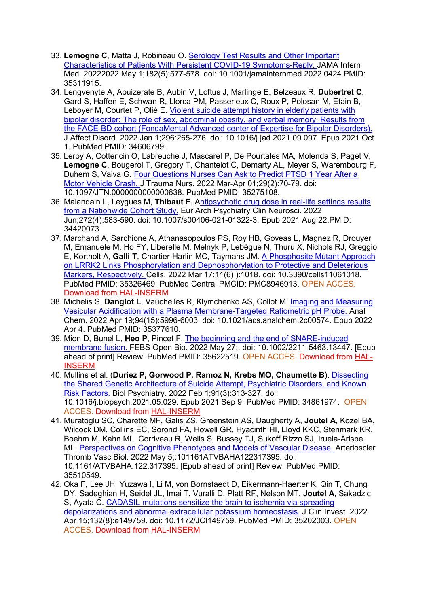- 33. **Lemogne C**, Matta J, Robineau O. [Serology Test Results and Other Important](https://www.ncbi.nlm.nih.gov/pubmed/35311915/)  [Characteristics of Patients With Persistent COVID-19 Symptoms-Reply. J](https://www.ncbi.nlm.nih.gov/pubmed/35311915/)AMA Intern Med. 20222022 May 1;182(5):577-578. doi: 10.1001/jamainternmed.2022.0424.PMID: 35311915.
- 34. Lengvenyte A, Aouizerate B, Aubin V, Loftus J, Marlinge E, Belzeaux R, **Dubertret C**, Gard S, Haffen E, Schwan R, Llorca PM, Passerieux C, Roux P, Polosan M, Etain B, Leboyer M, Courtet P, Olié E. [Violent suicide attempt history in elderly patients with](https://www.ncbi.nlm.nih.gov/pubmed/34606799/)  [bipolar disorder: The role of sex, abdominal obesity, and verbal memory: Results from](https://www.ncbi.nlm.nih.gov/pubmed/34606799/)  [the FACE-BD cohort \(FondaMental Advanced center of Expertise for Bipolar Disorders\).](https://www.ncbi.nlm.nih.gov/pubmed/34606799/)  J Affect Disord. 2022 Jan 1;296:265-276. doi: 10.1016/j.jad.2021.09.097. Epub 2021 Oct 1. PubMed PMID: 34606799.
- 35. Leroy A, Cottencin O, Labreuche J, Mascarel P, De Pourtales MA, Molenda S, Paget V, **Lemogne C**, Bougerol T, Gregory T, Chantelot C, Demarty AL, Meyer S, Warembourg F, Duhem S, Vaiva G. Four Questions Nurses Can Ask to Predict PTSD 1 Year After a [Motor Vehicle Crash. J](https://www.ncbi.nlm.nih.gov/pubmed/35275108/) Trauma Nurs. 2022 Mar-Apr 01;29(2):70-79. doi: 10.1097/JTN.0000000000000638. PubMed PMID: 35275108.
- 36. Malandain L, Leygues M, **Thibaut F**. [Antipsychotic drug dose in real-life settings results](https://pubmed.ncbi.nlm.nih.gov/34420073/)  [from a Nationwide Cohort Study.](https://pubmed.ncbi.nlm.nih.gov/34420073/) Eur Arch Psychiatry Clin Neurosci. 2022 Jun;272(4):583-590. doi: 10.1007/s00406-021-01322-3. Epub 2021 Aug 22.PMID: 34420073
- 37. Marchand A, Sarchione A, Athanasopoulos PS, Roy HB, Goveas L, Magnez R, Drouyer M, Emanuele M, Ho FY, Liberelle M, Melnyk P, Lebègue N, Thuru X, Nichols RJ, Greggio E, Kortholt A, **Galli T**, Chartier-Harlin MC, Taymans JM. [A Phosphosite Mutant Approach](https://www.ncbi.nlm.nih.gov/pubmed/35326469/)  [on LRRK2 Links Phosphorylation and Dephosphorylation to Protective and Deleterious](https://www.ncbi.nlm.nih.gov/pubmed/35326469/)  [Markers, Respectively. C](https://www.ncbi.nlm.nih.gov/pubmed/35326469/)ells. 2022 Mar 17;11(6) ):1018. doi: 10.3390/cells11061018. PubMed PMID: 35326469; PubMed Central PMCID: PMC8946913. OPEN ACCES. Download from [HAL-INSERM](https://www.hal.inserm.fr/inserm-03625821)
- 38. Michelis S, **Danglot L**, Vauchelles R, Klymchenko AS, Collot M. [Imaging and Measuring](https://www.ncbi.nlm.nih.gov/pubmed/35377610/)  [Vesicular Acidification with a Plasma Membrane-Targeted Ratiometric pH Probe. A](https://www.ncbi.nlm.nih.gov/pubmed/35377610/)nal Chem. 2022 Apr 19;94(15):5996-6003. doi: 10.1021/acs.analchem.2c00574. Epub 2022 Apr 4. PubMed PMID: 35377610.
- 39. Mion D, Bunel L, **Heo P**, Pincet F. [The beginning and the end of SNARE-induced](https://www.ncbi.nlm.nih.gov/pubmed/35622519/)  [membrane fusion. F](https://www.ncbi.nlm.nih.gov/pubmed/35622519/)EBS Open Bio. 2022 May 27;. doi: 10.1002/2211-5463.13447. [Epub ahead of print] Review. PubMed PMID: 35622519. OPEN ACCES. Download from [HAL-](https://www.hal.inserm.fr/inserm-03684267)[INSERM](https://www.hal.inserm.fr/inserm-03684267)
- 40. Mullins et al. (**Duriez P, Gorwood P, Ramoz N, Krebs MO, Chaumette B**). [Dissecting](https://www.ncbi.nlm.nih.gov/pubmed/34861974/)  [the Shared Genetic Architecture of Suicide Attempt, Psychiatric Disorders, and Known](https://www.ncbi.nlm.nih.gov/pubmed/34861974/)  [Risk Factors. B](https://www.ncbi.nlm.nih.gov/pubmed/34861974/)iol Psychiatry. 2022 Feb 1;91(3):313-327. doi: 10.1016/j.biopsych.2021.05.029. Epub 2021 Sep 9. PubMed PMID: 34861974. OPEN ACCES. Download from [HAL-INSERM](https://hal.archives-ouvertes.fr/hal-03496948)
- 41. Muratoglu SC, Charette MF, Galis ZS, Greenstein AS, Daugherty A, **Joutel A**, Kozel BA, Wilcock DM, Collins EC, Sorond FA, Howell GR, Hyacinth HI, Lloyd KKC, Stenmark KR, Boehm M, Kahn ML, Corriveau R, Wells S, Bussey TJ, Sukoff Rizzo SJ, Iruela-Arispe ML. [Perspectives on Cognitive Phenotypes and Models of Vascular Disease. A](https://www.ncbi.nlm.nih.gov/pubmed/35510549/)rterioscler Thromb Vasc Biol. 2022 May 5;:101161ATVBAHA122317395. doi: 10.1161/ATVBAHA.122.317395. [Epub ahead of print] Review. PubMed PMID: 35510549.
- 42. Oka F, Lee JH, Yuzawa I, Li M, von Bornstaedt D, Eikermann-Haerter K, Qin T, Chung DY, Sadeghian H, Seidel JL, Imai T, Vuralli D, Platt RF, Nelson MT, **Joutel A**, Sakadzic S, Ayata C. [CADASIL mutations sensitize the brain to ischemia via spreading](https://www.ncbi.nlm.nih.gov/pubmed/35202003/)  [depolarizations and abnormal extracellular potassium homeostasis. J](https://www.ncbi.nlm.nih.gov/pubmed/35202003/) Clin Invest. 2022 Apr 15;132(8):e149759. doi: 10.1172/JCI149759. PubMed PMID: 35202003. OPEN ACCES. Download from [HAL-INSERM](https://www.hal.inserm.fr/inserm-03625838)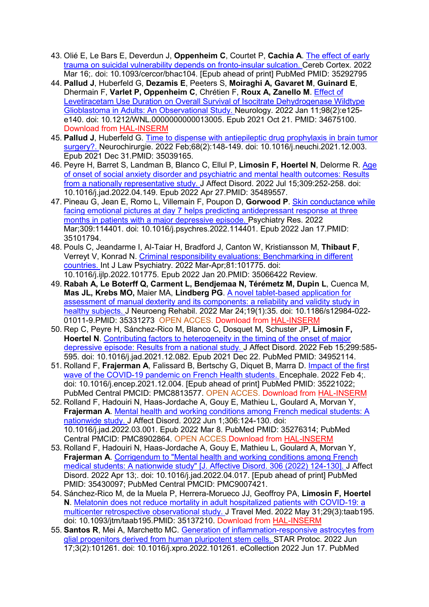- 43. Olié E, Le Bars E, Deverdun J, **Oppenheim C**, Courtet P, **Cachia A**. [The effect of early](https://www.ncbi.nlm.nih.gov/pubmed/35292795/)  [trauma on suicidal vulnerability depends on fronto-insular sulcation. C](https://www.ncbi.nlm.nih.gov/pubmed/35292795/)ereb Cortex. 2022 Mar 16;. doi: 10.1093/cercor/bhac104. [Epub ahead of print] PubMed PMID: 35292795
- 44. **Pallud J**, Huberfeld G, **Dezamis E**, Peeters S, **Moiraghi A, Gavaret M**, **Guinard E**, Dhermain F, **Varlet P, Oppenheim C**, Chrétien F, **Roux A, Zanello M**. [Effect of](https://www.ncbi.nlm.nih.gov/pubmed/34675100/)  Levetiracetam Use [Duration on Overall Survival of Isocitrate Dehydrogenase Wildtype](https://www.ncbi.nlm.nih.gov/pubmed/34675100/)  [Glioblastoma in Adults: An Observational Study. N](https://www.ncbi.nlm.nih.gov/pubmed/34675100/)eurology. 2022 Jan 11;98(2):e125 e140. doi: 10.1212/WNL.0000000000013005. Epub 2021 Oct 21. PMID: 34675100. Download from [HAL-INSERM](https://www.hal.inserm.fr/inserm-03421138)
- 45. **Pallud J**, Huberfeld G. [Time to dispense with antiepileptic drug prophylaxis in brain tumor](https://www.ncbi.nlm.nih.gov/pubmed/35039165/)  [surgery?. N](https://www.ncbi.nlm.nih.gov/pubmed/35039165/)eurochirurgie. 2022 Feb;68(2):148-149. doi: 10.1016/j.neuchi.2021.12.003. Epub 2021 Dec 31.PMID: 35039165.
- 46. Peyre H, Barret S, Landman B, Blanco C, Ellul P, **Limosin F, Hoertel N**, Delorme R. [Age](https://www.ncbi.nlm.nih.gov/pubmed/35489557/)  of onset of social anxiety [disorder and psychiatric and mental health outcomes: Results](https://www.ncbi.nlm.nih.gov/pubmed/35489557/)  [from a nationally representative study. J](https://www.ncbi.nlm.nih.gov/pubmed/35489557/) Affect Disord. 2022 Jul 15;309:252-258. doi: 10.1016/j.jad.2022.04.149. Epub 2022 Apr 27.PMID: 35489557.
- 47. Pineau G, Jean E, Romo L, Villemain F, Poupon D, **Gorwood P**. [Skin conductance while](https://www.ncbi.nlm.nih.gov/pubmed/35101794/)  [facing emotional pictures at day 7 helps predicting antidepressant response at three](https://www.ncbi.nlm.nih.gov/pubmed/35101794/)  [months in patients with a major depressive episode. P](https://www.ncbi.nlm.nih.gov/pubmed/35101794/)sychiatry Res. 2022 Mar;309:114401. doi: 10.1016/j.psychres.2022.114401. Epub 2022 Jan 17.PMID: 35101794.
- 48. Pouls C, Jeandarme I, Al-Taiar H, Bradford J, Canton W, Kristiansson M, **Thibaut F**, Verreyt V, Konrad N. [Criminal responsibility evaluations: Benchmarking in different](https://www.ncbi.nlm.nih.gov/pubmed/35066422/)  [countries. I](https://www.ncbi.nlm.nih.gov/pubmed/35066422/)nt J Law Psychiatry. 2022 Mar-Apr;81:101775. doi: 10.1016/j.ijlp.2022.101775. Epub 2022 Jan 20.PMID: 35066422 Review.
- 49. **Rabah A, Le Boterff Q, Carment L, Bendjemaa N, Térémetz M, Dupin L**, Cuenca M, **Mas JL, Krebs MO,** Maier MA, **Lindberg PG**. [A novel tablet-based application for](https://www.ncbi.nlm.nih.gov/pubmed/35331273/)  [assessment of manual dexterity and its components: a reliability and validity study in](https://www.ncbi.nlm.nih.gov/pubmed/35331273/)  [healthy subjects. J](https://www.ncbi.nlm.nih.gov/pubmed/35331273/) Neuroeng Rehabil. 2022 Mar 24;19(1):35. doi: 10.1186/s12984-022- 01011-9.PMID: 35331273 OPEN ACCES. Download from [HAL-INSERM](https://www.hal.inserm.fr/inserm-03624404)
- 50. Rep C, Peyre H, Sánchez-Rico M, Blanco C, Dosquet M, Schuster JP, **Limosin F, Hoertel N**. [Contributing factors to heterogeneity in the timing of the onset of major](https://www.ncbi.nlm.nih.gov/pubmed/34952114/)  [depressive episode: Results from a national study. J](https://www.ncbi.nlm.nih.gov/pubmed/34952114/) Affect Disord. 2022 Feb 15;299:585- 595. doi: 10.1016/j.jad.2021.12.082. Epub 2021 Dec 22. PubMed PMID: 34952114.
- 51. Rolland F, **Frajerman A**, Falissard B, Bertschy G, Diquet B, Marra D. [Impact of the first](https://www.ncbi.nlm.nih.gov/pubmed/35221022/)  [wave of the COVID-19 pandemic on French Health students. E](https://www.ncbi.nlm.nih.gov/pubmed/35221022/)ncephale. 2022 Feb 4; doi: 10.1016/j.encep.2021.12.004. [Epub ahead of print] PubMed PMID: 35221022; PubMed Central PMCID: PMC8813577. OPEN ACCES. Download from [HAL-INSERM](https://www.hal.inserm.fr/inserm-03684445)
- 52. Rolland F, Hadouiri N, Haas-Jordache A, Gouy E, Mathieu L, Goulard A, Morvan Y, **Frajerman A**. [Mental health and working conditions among French medical students: A](https://www.ncbi.nlm.nih.gov/pubmed/35276314/)  [nationwide study. J](https://www.ncbi.nlm.nih.gov/pubmed/35276314/) Affect Disord. 2022 Jun 1;306:124-130. doi: 10.1016/j.jad.2022.03.001. Epub 2022 Mar 8. PubMed PMID: 35276314; PubMed Central PMCID: PMC8902864. OPEN ACCES.Download from [HAL-INSERM](https://www.hal.inserm.fr/inserm-03684443)
- 53. Rolland F, Hadouiri N, Haas-Jordache A, Gouy E, Mathieu L, Goulard A, Morvan Y, **Frajerman A**. [Corrigendum to "Mental health and working conditions among French](https://www.ncbi.nlm.nih.gov/pubmed/35430097/)  [medical students: A nationwide study" \[J. Affective Disord. 306 \(2022\) 124-130\]. J](https://www.ncbi.nlm.nih.gov/pubmed/35430097/) Affect Disord. 2022 Apr 13;. doi: 10.1016/j.jad.2022.04.017. [Epub ahead of print] PubMed PMID: 35430097; PubMed Central PMCID: PMC9007421.
- 54. Sánchez-Rico M, de la Muela P, Herrera-Morueco JJ, Geoffroy PA, **Limosin F, Hoertel N**. [Melatonin does not reduce mortality in adult hospitalized patients with COVID-19: a](https://www.ncbi.nlm.nih.gov/pubmed/35137210/)  [multicenter retrospective observational study. J](https://www.ncbi.nlm.nih.gov/pubmed/35137210/) Travel Med. 2022 May 31;29(3):taab195. doi: 10.1093/jtm/taab195.PMID: 35137210. Download from [HAL-INSERM](https://www.hal.inserm.fr/inserm-03585466)
- 55. **Santos R**, Mei A, Marchetto MC. [Generation of inflammation-responsive astrocytes from](https://www.ncbi.nlm.nih.gov/pubmed/35313707/)  [glial progenitors derived from human pluripotent stem cells. S](https://www.ncbi.nlm.nih.gov/pubmed/35313707/)TAR Protoc. 2022 Jun 17;3(2):101261. doi: 10.1016/j.xpro.2022.101261. eCollection 2022 Jun 17. PubMed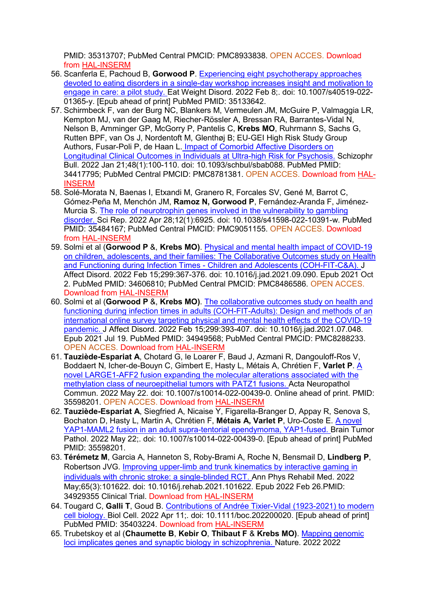PMID: 35313707; PubMed Central PMCID: PMC8933838. OPEN ACCES. Download from [HAL-INSERM](https://hal.archives-ouvertes.fr/hal-03616279)

- 56. Scanferla E, Pachoud B, **Gorwood P**. [Experiencing eight psychotherapy approaches](https://www.ncbi.nlm.nih.gov/pubmed/35133642/)  [devoted to eating disorders in a single-day workshop increases insight and motivation to](https://www.ncbi.nlm.nih.gov/pubmed/35133642/)  [engage in care: a pilot study. E](https://www.ncbi.nlm.nih.gov/pubmed/35133642/)at Weight Disord. 2022 Feb 8;. doi: 10.1007/s40519-022- 01365-y. [Epub ahead of print] PubMed PMID: 35133642.
- 57. Schirmbeck F, van der Burg NC, Blankers M, Vermeulen JM, McGuire P, Valmaggia LR, Kempton MJ, van der Gaag M, Riecher-Rössler A, Bressan RA, Barrantes-Vidal N, Nelson B, Amminger GP, McGorry P, Pantelis C, **Krebs MO**, Ruhrmann S, Sachs G, Rutten BPF, van Os J, Nordentoft M, Glenthøj B; EU-GEI [High Risk Study Group](https://pubmed.ncbi.nlm.nih.gov/34417795/)  Authors, Fusar-Poli P, de Haan L. [Impact of Comorbid Affective Disorders on](https://pubmed.ncbi.nlm.nih.gov/34417795/)  [Longitudinal Clinical Outcomes in Individuals at Ultra-high Risk for Psychosis.](https://pubmed.ncbi.nlm.nih.gov/34417795/) Schizophr Bull. 2022 Jan 21;48(1):100-110. doi: 10.1093/schbul/sbab088. PubMed PMID: 34417795; PubMed Central PMCID: PMC8781381. OPEN ACCES. Download from [HAL-](https://www.hal.inserm.fr/inserm-03324843)[INSERM](https://www.hal.inserm.fr/inserm-03324843)
- 58. Solé-Morata N, Baenas I, Etxandi M, Granero R, Forcales SV, Gené M, Barrot C, Gómez-Peña M, Menchón JM, **Ramoz N, Gorwood P**, Fernández-Aranda F, Jiménez-Murcia S. [The role of neurotrophin genes involved in the vulnerability to gambling](https://www.ncbi.nlm.nih.gov/pubmed/35484167/)  [disorder. S](https://www.ncbi.nlm.nih.gov/pubmed/35484167/)ci Rep. 2022 Apr 28;12(1):6925. doi: 10.1038/s41598-022-10391-w. PubMed PMID: 35484167; PubMed Central PMCID: PMC9051155. OPEN ACCES. Download from [HAL-INSERM](https://www.hal.inserm.fr/inserm-03658543)
- 59. Solmi et al (**Gorwood P** &, **Krebs MO)**. [Physical and mental health impact of COVID-19](https://www.ncbi.nlm.nih.gov/pubmed/34606810/)  [on children, adolescents, and their families: The Collaborative Outcomes study on Health](https://www.ncbi.nlm.nih.gov/pubmed/34606810/)  and Functioning during Infection Times - [Children and Adolescents \(COH-FIT-C&A\). J](https://www.ncbi.nlm.nih.gov/pubmed/34606810/) Affect Disord. 2022 Feb 15;299:367-376. doi: 10.1016/j.jad.2021.09.090. Epub 2021 Oct 2. PubMed PMID: 34606810; PubMed Central PMCID: PMC8486586. OPEN ACCES. Download from [HAL-INSERM](https://www.hal.inserm.fr/inserm-03541026)
- 60. Solmi et al (**Gorwood P** &, **Krebs MO)**. [The collaborative outcomes study on health and](https://www.ncbi.nlm.nih.gov/pubmed/34949568/)  [functioning during infection times in adults \(COH-FIT-Adults\): Design and methods of an](https://www.ncbi.nlm.nih.gov/pubmed/34949568/)  [international online survey targeting physical and mental health effects of](https://www.ncbi.nlm.nih.gov/pubmed/34949568/) the COVID-19 [pandemic. J](https://www.ncbi.nlm.nih.gov/pubmed/34949568/) Affect Disord. 2022 Feb 15;299:393-407. doi: 10.1016/j.jad.2021.07.048. Epub 2021 Jul 19. PubMed PMID: 34949568; PubMed Central PMCID: PMC8288233. OPEN ACCES. Download from [HAL-INSERM](https://www.hal.inserm.fr/inserm-03540986)
- 61. **Tauziède-Espariat A**, Chotard G, le Loarer F, Baud J, Azmani R, Dangouloff-Ros V, Boddaert N, Icher-de-Bouyn C, Gimbert E, Hasty L, Métais A, Chrétien F, **Varlet P**. [A](https://www.ncbi.nlm.nih.gov/pubmed/35115049/)  [novel LARGE1-AFF2 fusion expanding the molecular alterations associated with the](https://www.ncbi.nlm.nih.gov/pubmed/35115049/)  [methylation class of neuroepithelial tumors with PATZ1 fusions. A](https://www.ncbi.nlm.nih.gov/pubmed/35115049/)cta Neuropathol Commun. 2022 May 22. doi: 10.1007/s10014-022-00439-0. Online ahead of print. PMID: 35598201. OPEN ACCES. Download from [HAL-INSERM](https://www.hal.inserm.fr/inserm-03559885)
- 62. **Tauziède-Espariat A**, Siegfried A, Nicaise Y, Figarella-Branger D, Appay R, Senova S, Bochaton D, Hasty L, Martin A, Chrétien F, **Métais A, Varlet P**, Uro-Coste E. [A novel](https://www.ncbi.nlm.nih.gov/pubmed/35598201/)  [YAP1-MAML2 fusion in an adult supra-tentorial ependymoma, YAP1-fused. B](https://www.ncbi.nlm.nih.gov/pubmed/35598201/)rain Tumor Pathol. 2022 May 22;. doi: 10.1007/s10014-022-00439-0. [Epub ahead of print] PubMed PMID: 35598201.
- 63. **Térémetz M**, Garcia A, Hanneton S, Roby-Brami A, Roche N, Bensmail D, **Lindberg P**, Robertson JVG. [Improving upper-limb and trunk kinematics by interactive gaming in](https://www.ncbi.nlm.nih.gov/pubmed/34929355/)  [individuals with chronic stroke: a single-blinded RCT. A](https://www.ncbi.nlm.nih.gov/pubmed/34929355/)nn Phys Rehabil Med. 2022 May;65(3):101622. doi: 10.1016/j.rehab.2021.101622. Epub 2022 Feb 26.PMID: 34929355 Clinical Trial. Download from [HAL-INSERM](https://www.hal.inserm.fr/inserm-03520880)
- 64. Tougard C, **Galli T**, Goud B. [Contributions of Andrée Tixier-Vidal \(1923-2021\) to modern](https://www.ncbi.nlm.nih.gov/pubmed/35403224/)  [cell biology. B](https://www.ncbi.nlm.nih.gov/pubmed/35403224/)iol Cell. 2022 Apr 11;. doi: 10.1111/boc.202200020. [Epub ahead of print] PubMed PMID: 35403224. Download from [HAL-INSERM](https://www.hal.inserm.fr/inserm-03646960)
- 65. Trubetskoy et al (**Chaumette B**, **Kebir O**, **Thibaut F** & **Krebs MO)**. [Mapping genomic](https://www.ncbi.nlm.nih.gov/pubmed/35396580/)  [loci implicates genes and synaptic biology in schizophrenia. N](https://www.ncbi.nlm.nih.gov/pubmed/35396580/)ature. 2022 2022